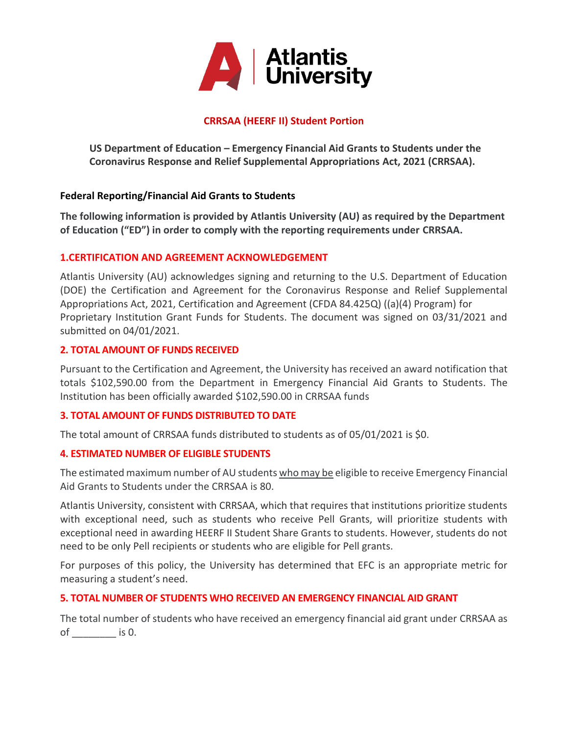

# **CRRSAA (HEERF II) Student Portion**

US Department of Education – Emergency Financial Aid Grants to Students under the **Coronavirus Response and Relief Supplemental Appropriations Act, 2021 (CRRSAA).**

## **Federal Reporting/Financial Aid Grants to Students**

**The following information is provided by Atlantis University (AU) as required by the Department of Education ("ED") in order to comply with the reporting requirements under CRRSAA.**

### **1.CERTIFICATION AND AGREEMENT ACKNOWLEDGEMENT**

Atlantis University (AU) acknowledges signing and returning to the U.S. Department of Education (DOE) the Certification and Agreement for the Coronavirus Response and Relief Supplemental Appropriations Act, 2021, Certification and Agreement (CFDA 84.425Q) ((a)(4) Program) for Proprietary Institution Grant Funds for Students. The document was signed on 03/31/2021 and submitted on 04/01/2021.

#### **2. TOTAL AMOUNT OF FUNDS RECEIVED**

Pursuant to the Certification and Agreement, the University has received an award notification that totals \$102,590.00 from the Department in Emergency Financial Aid Grants to Students. The Institution has been officially awarded \$102,590.00 in CRRSAA funds

#### **3. TOTAL AMOUNT OF FUNDS DISTRIBUTED TO DATE**

The total amount of CRRSAA funds distributed to students as of 05/01/2021 is \$0.

#### **4. ESTIMATED NUMBER OF ELIGIBLE STUDENTS**

The estimated maximum number of AU students who may be eligible to receive Emergency Financial Aid Grants to Students under the CRRSAA is 80.

Atlantis University, consistent with CRRSAA, which that requires that institutions prioritize students with exceptional need, such as students who receive Pell Grants, will prioritize students with exceptional need in awarding HEERF II Student Share Grants to students. However, students do not need to be only Pell recipients or students who are eligible for Pell grants.

For purposes of this policy, the University has determined that EFC is an appropriate metric for measuring a student's need.

#### **5. TOTAL NUMBER OF STUDENTS WHO RECEIVED AN EMERGENCY FINANCIAL AID GRANT**

The total number of students who have received an emergency financial aid grant under CRRSAA as of \_\_\_\_\_\_\_\_ is 0.